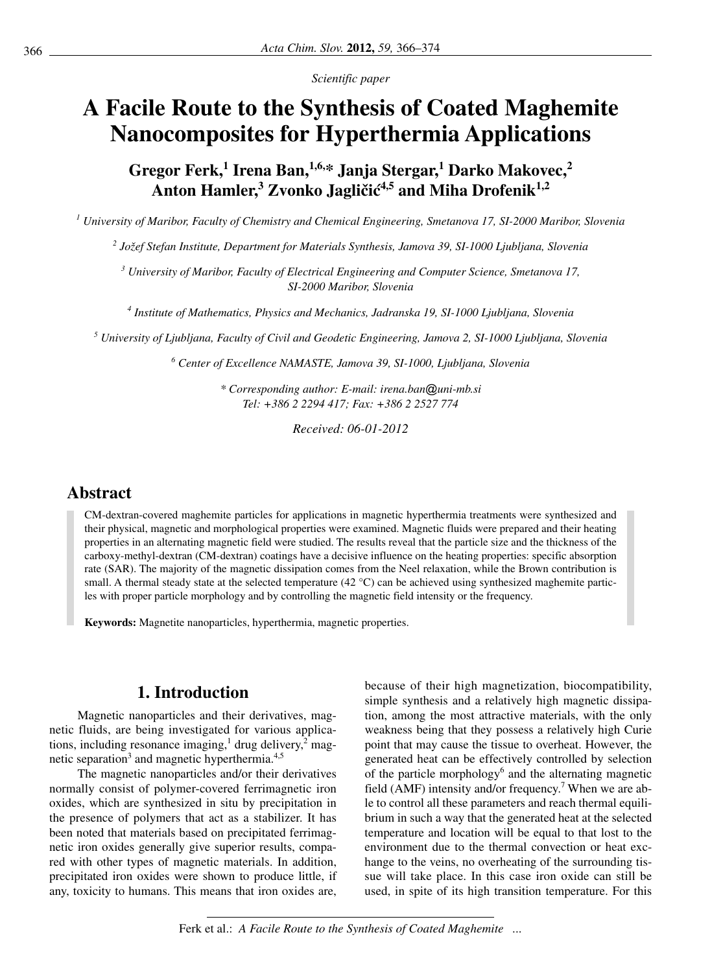*Scientific pa per*

# **A Facile Route to the Synthesis of Coated Maghemite Nanocomposites for Hyperthermia Applications**

Gregor Ferk,<sup>1</sup> Irena Ban,<sup>1,6,\*</sup> Janja Stergar,<sup>1</sup> Darko Makovec,<sup>2</sup> Anton Hamler,<sup>3</sup> Zvonko Jagličić<sup>4,5</sup> and Miha Drofenik<sup>1,2</sup>

<sup>1</sup> University of Maribor, Faculty of Chemistry and Chemical Engineering, Smetanova 17, SI-2000 Maribor, Slovenia

<sup>2</sup> Jožef Stefan Institute, Department for Materials Synthesis, Jamova 39, SI-1000 Ljubljana, Slovenia

<sup>3</sup> University of Maribor, Faculty of Electrical Engineering and Computer Science, Smetanova 17, *SI-2000 Ma ri bor, Slo ve nia*

<sup>4</sup> Institute of Mathematics, Physics and Mechanics, Jadranska 19, SI-1000 Ljubljana, Slovenia

<sup>5</sup> University of Ljubljana, Faculty of Civil and Geodetic Engineering, Jamova 2, SI-1000 Ljubljana, Slovenia

<sup>6</sup> Center of Excellence NAMASTE, Jamova 39, SI-1000, Liubliana, Slovenia

*\* Corresponding author: E-mail: ire na.ban @u ni-mb.si Tel: +386 2 2294 417; Fax: +386 2 2527 774*

*Re cei ved: 06-01-2012*

# **Ab stract**

CM-dextran-covered maghemite particles for applications in magnetic hyperthermia treatments were synthesized and their physical, magnetic and morphological properties were examined. Magnetic fluids were prepared and their heating properties in an alternating magnetic field were studied. The results reveal that the particle size and the thickness of the carboxy-methyl-dextran (CM-dextran) coatings have a decisive influence on the heating properties: specific absorption rate (SAR). The majority of the magnetic dissipation comes from the Neel relaxation, while the Brown contribution is small. A thermal steady state at the selected temperature (42  $^{\circ}$ C) can be achieved using synthesized maghemite particles with proper particle morphology and by controlling the magnetic field intensity or the frequency.

Keywords: Magnetite nanoparticles, hyperthermia, magnetic properties.

# **1.** Introduction

Magnetic nanoparticles and their derivatives, magnetic fluids, are being investigated for various applications, including resonance imaging,<sup>1</sup> drug delivery,<sup>2</sup> magnetic separation<sup>3</sup> and magnetic hyperthermia.<sup>4,5</sup>

The magnetic nanoparticles and/or their derivatives normally consist of polymer-covered ferrimagnetic iron oxides, which are synthesized in situ by precipitation in the presence of polymers that act as a stabilizer. It has been noted that materials based on precipitated ferrimagnetic iron oxides generally give superior results, compared with other types of magnetic materials. In addition, precipitated iron oxides were shown to produce little, if any, toxicity to humans. This means that iron oxides are, because of their high magnetization, biocompatibility, simple synthesis and a relatively high magnetic dissipation, among the most attractive materials, with the only weakness being that they possess a relatively high Curie point that may cause the tissue to overheat. However, the generated heat can be effectively controlled by selection of the particle morphology<sup>6</sup> and the alternating magnetic field (AMF) intensity and/or frequency.<sup>7</sup> When we are able to control all these parameters and reach thermal equilibrium in such a way that the generated heat at the selected temperature and location will be equal to that lost to the environment due to the thermal convection or heat exchange to the veins, no overheating of the surrounding tissue will take place. In this case iron oxide can still be used, in spite of its high transition temperature. For this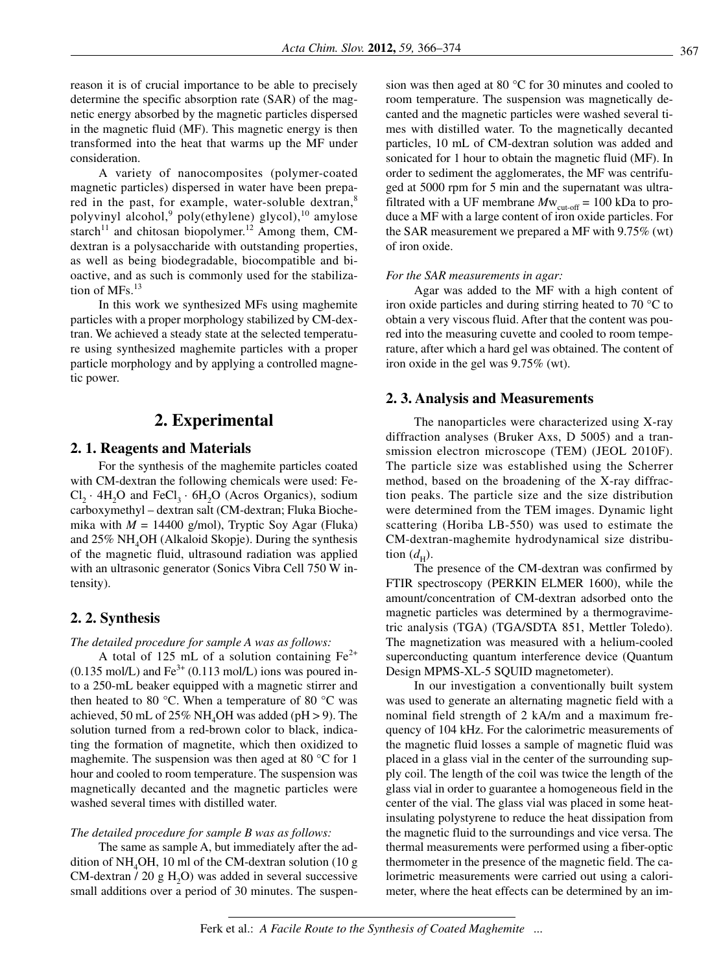reason it is of crucial importance to be able to precisely determine the specific absorption rate (SAR) of the magnetic energy absorbed by the magnetic particles dispersed in the magnetic fluid (MF). This magnetic energy is then transformed into the heat that warms up the MF under consideration.

A variety of nanocomposites (polymer-coated magnetic particles) dispersed in water have been prepared in the past, for example, water-soluble dextran,<sup>8</sup> polyvinyl alcohol,<sup>9</sup> poly(ethylene) glycol),<sup>10</sup> amylose starch<sup>11</sup> and chitosan biopolymer.<sup>12</sup> Among them, CMdextran is a polysaccharide with outstanding properties, as well as being biodegradable, biocompatible and bioactive, and as such is commonly used for the stabilization of MFs $^{13}$ 

In this work we synthesized MFs using maghemite particles with a proper morphology stabilized by CM-dextran. We achieved a steady state at the selected temperature using synthesized maghemite particles with a proper particle morphology and by applying a controlled magnetic power.

## 2. Experimental

## 2. 1. Reagents and Materials

For the synthesis of the maghemite particles coated with CM-dextran the following chemicals were used: Fe- $Cl_2 \cdot 4H_2O$  and  $FeCl_3 \cdot 6H_2O$  (Acros Organics), sodium carboxymethyl - dextran salt (CM-dextran; Fluka Biochemika with  $M = 14400$  g/mol), Tryptic Soy Agar (Fluka) and  $25\%$  NH<sub>4</sub>OH (Alkaloid Skopje). During the synthesis of the magnetic fluid, ultrasound radiation was applied with an ultrasonic generator (Sonics Vibra Cell 750 W intensity).

## 2. 2. Synthesis

#### The detailed procedure for sample A was as follows:

A total of 125 mL of a solution containing  $Fe^{2+}$  $(0.135 \text{ mol/L})$  and Fe<sup>3+</sup>  $(0.113 \text{ mol/L})$  ions was poured into a 250-mL beaker equipped with a magnetic stirrer and then heated to 80 °C. When a temperature of 80 °C was achieved, 50 mL of 25% NH<sub>4</sub>OH was added ( $pH > 9$ ). The solution turned from a red-brown color to black, indicating the formation of magnetite, which then oxidized to maghemite. The suspension was then aged at 80  $^{\circ}$ C for 1 hour and cooled to room temperature. The suspension was magnetically decanted and the magnetic particles were washed several times with distilled water.

#### The detailed procedure for sample B was as follows:

The same as sample A, but immediately after the addition of  $NH<sub>4</sub>OH$ , 10 ml of the CM-dextran solution (10 g CM-dextran  $/$  20 g H<sub>2</sub>O) was added in several successive small additions over a period of 30 minutes. The suspension was then aged at 80  $^{\circ}$ C for 30 minutes and cooled to room temperature. The suspension was magnetically decanted and the magnetic particles were washed several times with distilled water. To the magnetically decanted particles, 10 mL of CM-dextran solution was added and sonicated for 1 hour to obtain the magnetic fluid (MF). In order to sediment the agglomerates, the MF was centrifuged at 5000 rpm for 5 min and the supernatant was ultrafiltrated with a UF membrane  $Mw_{\text{cut-off}} = 100 \text{ kDa}$  to produce a MF with a large content of iron oxide particles. For the SAR measurement we prepared a MF with  $9.75\%$  (wt) of iron oxide.

#### For the SAR measurements in agar:

Agar was added to the MF with a high content of iron oxide particles and during stirring heated to 70  $\degree$ C to obtain a very viscous fluid. After that the content was poured into the measuring cuvette and cooled to room temperature, after which a hard gel was obtained. The content of iron oxide in the gel was 9.75% (wt).

## 2.3. Analysis and Measurements

The nanoparticles were characterized using X-ray diffraction analyses (Bruker Axs, D 5005) and a transmission electron microscope (TEM) (JEOL 2010F). The particle size was established using the Scherrer method, based on the broadening of the X-ray diffraction peaks. The particle size and the size distribution were determined from the TEM images. Dynamic light scattering (Horiba LB-550) was used to estimate the CM-dextran-maghemite hydrodynamical size distribution  $(d<sub>H</sub>)$ .

The presence of the CM-dextran was confirmed by FTIR spectroscopy (PERKIN ELMER 1600), while the amount/concentration of CM-dextran adsorbed onto the magnetic particles was determined by a thermogravimetric analysis (TGA) (TGA/SDTA 851, Mettler Toledo). The magnetization was measured with a helium-cooled superconducting quantum interference device (Quantum Design MPMS-XL-5 SQUID magnetometer).

In our investigation a conventionally built system was used to generate an alternating magnetic field with a nominal field strength of 2 kA/m and a maximum frequency of 104 kHz. For the calorimetric measurements of the magnetic fluid losses a sample of magnetic fluid was placed in a glass vial in the center of the surrounding supply coil. The length of the coil was twice the length of the glass vial in order to guarantee a homogeneous field in the center of the vial. The glass vial was placed in some heatinsulating polystyrene to reduce the heat dissipation from the magnetic fluid to the surroundings and vice versa. The thermal measurements were performed using a fiber-optic thermometer in the presence of the magnetic field. The calorimetric measurements were carried out using a calorimeter, where the heat effects can be determined by an im-

Ferk et al.: A Facile Route to the Synthesis of Coated Maghemite ...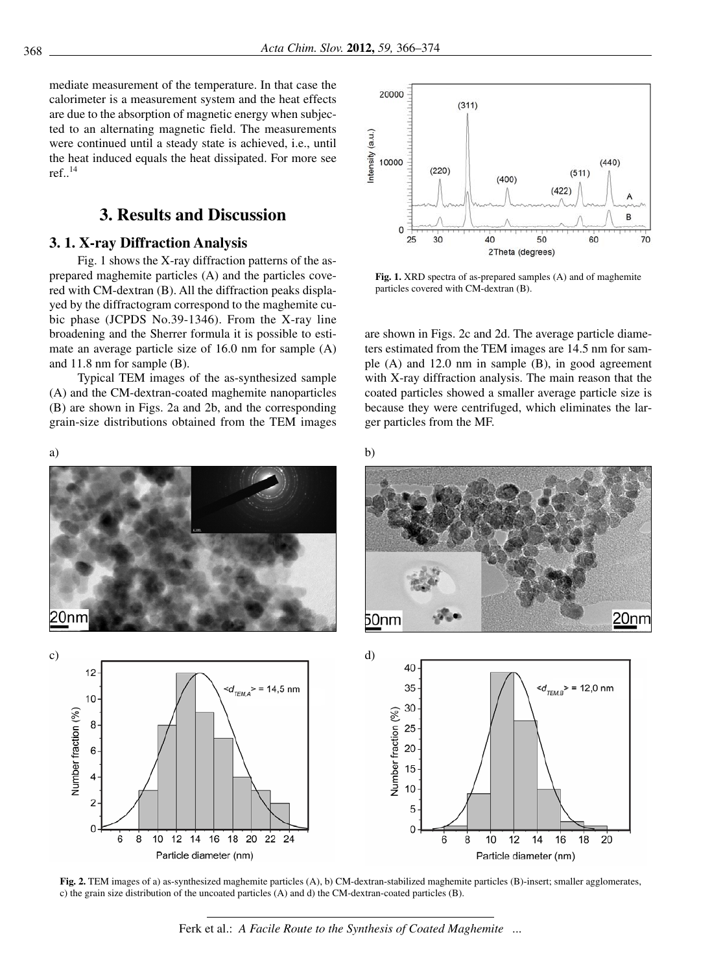mediate measurement of the temperature. In that case the calorimeter is a measurement system and the heat effects are due to the absorption of magnetic energy when subjected to an alternating magnetic field. The measurements were continued until a steady state is achieved, i.e., until the heat induced equals the heat dissipated. For more see ref $.14$ 

# **3. Results and Discussion**

## **3. 1. X-ray Diffraction Analysis**

Fig. 1 shows the X-ray diffraction patterns of the asprepared maghemite particles  $(A)$  and the particles covered with CM-dextran (B). All the diffraction peaks displayed by the diffractogram correspond to the maghemite cubic phase (JCPDS  $No.39-1346$ ). From the X-ray line broadening and the Sherrer formula it is possible to estimate an average particle size of  $16.0$  nm for sample  $(A)$ and  $11.8$  nm for sample  $(B)$ .

Typical TEM images of the as-synthesized sample  $(A)$  and the CM-dextran-coated maghemite nanoparticles  $(B)$  are shown in Figs. 2a and 2b, and the corresponding grain-size distributions obtained from the TEM images







Fig. 1. XRD spectra of as-prepared samples (A) and of maghemite particles covered with CM-dextran (B).

are shown in Figs. 2c and 2d. The average particle diameters estimated from the TEM images are 14.5 nm for sample  $(A)$  and 12.0 nm in sample  $(B)$ , in good agreement with X-ray diffraction analysis. The main reason that the coated particles showed a smaller average particle size is because they were centrifuged, which eliminates the larger particles from the MF.







**Fig. 2.** TEM images of a) as-synthesized maghemite particles (A), b) CM-dextran-stabilized maghemite particles (B)-insert; smaller agglomerates, c) the grain size distribution of the uncoated particles (A) and d) the CM-dextran-coated particles (B).

Ferk et al.: *A Facile Route to the Synthesis of Coated Maghemite ...*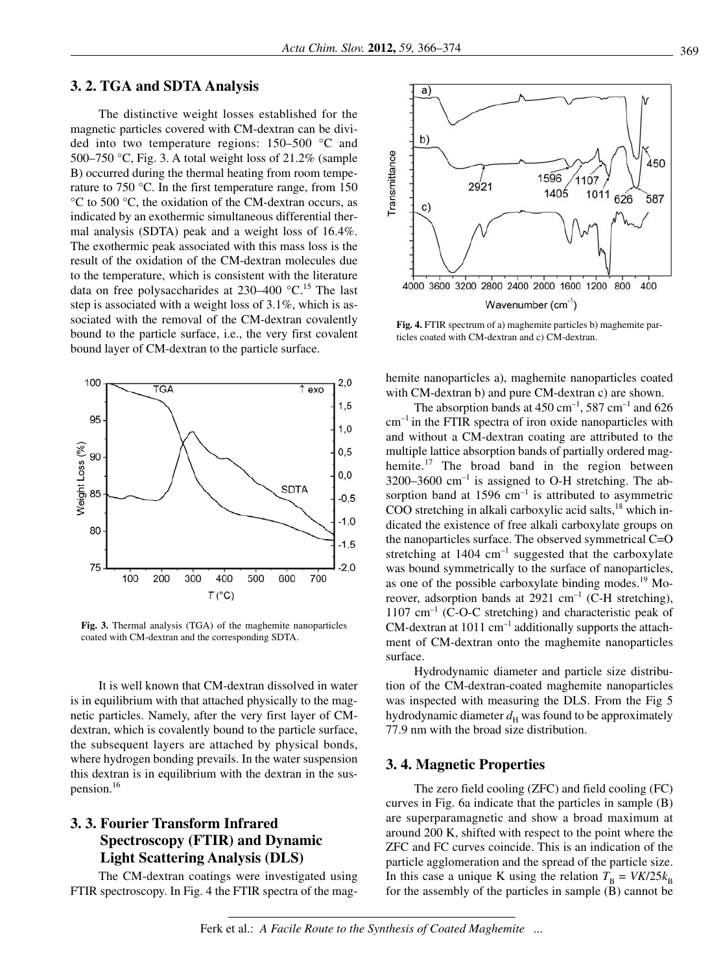## **3. 2. TGA and SDTA Analysis**

The distinctive weight losses established for the magnetic particles covered with CM-dextran can be divided into two temperature regions:  $150-500$  °C and 500–750 °C, Fig. 3. A total weight loss of  $21.2\%$  (sample B) occurred during the thermal heating from room temperature to 750  $\degree$ C. In the first temperature range, from 150  $\rm{°C}$  to 500  $\rm{°C}$ , the oxidation of the CM-dextran occurs, as indicated by an exothermic simultaneous differential thermal analy sis (SDTA) peak and a weight loss of 16.4%. The exothermic peak associated with this mass loss is the result of the oxidation of the CM-dextran molecules due to the temperature, which is consistent with the literature data on free polysaccharides at  $230-400$  °C.<sup>15</sup> The last step is associated with a weight loss of  $3.1\%$ , which is associated with the removal of the CM-dextran covalently bound to the particle surface, i.e., the very first covalent bound layer of CM-dextran to the particle surface.



Fig. 3. Thermal analysis (TGA) of the maghemite nanoparticles coated with CM-dextran and the corresponding SDTA.

It is well known that CM-dextran dissolved in water is in equilibrium with that attached physically to the magnetic particles. Namely, after the very first layer of CMdextran, which is covalently bound to the particle surface, the subsequent layers are attached by physical bonds, where hydrogen bonding prevails. In the water suspension this dextran is in equilibrium with the dextran in the suspension. $16$ 

# **3. 3. Fou rier Trans form In fra red Spectroscopy (FTIR) and Dynamic Light Scattering Analysis (DLS)**

The CM-dextran coatings were investigated using FTIR spectroscopy. In Fig. 4 the FTIR spectra of the mag-



Fig. 4. FTIR spectrum of a) maghemite particles b) maghemite particles coated with CM-dextran and c) CM-dextran.

he mite nanoparticles a), maghemite nanoparticles coated with CM-dextran b) and pure CM-dextran c) are shown.

The absorption bands at  $450 \text{ cm}^{-1}$ ,  $587 \text{ cm}^{-1}$  and  $626$  $cm^{-1}$  in the FTIR spectra of iron oxide nanoparticles with and without a CM-dextran coating are attributed to the multiple lattice absorption bands of partially ordered maghemite.<sup>17</sup> The broad band in the region between 3200–3600  $cm^{-1}$  is assigned to O-H stretching. The absorption band at 1596  $cm^{-1}$  is attributed to asymmetric COO stretching in alkali carboxylic acid salts, $18$  which indicated the existence of free alkali carboxy late groups on the nanoparticles surface. The observed symmetrical  $C=O$ stretching at  $1404 \text{ cm}^{-1}$  suggested that the carboxylate was bound symmetrically to the surface of nanoparticles, as one of the possible carboxylate binding modes.<sup>19</sup> Moreover, adsorption bands at 2921  $cm^{-1}$  (C-H stretching),  $1107 \text{ cm}^{-1}$  (C-O-C stretching) and characteristic peak of CM-dextran at  $1011 \text{ cm}^{-1}$  additionally supports the attachment of CM-dextran onto the maghemite nanoparticles surface.

Hydrodynamic diameter and particle size distribution of the CM-dextran-coated maghemite nanoparticles was inspected with measuring the DLS. From the Fig 5 hydrodynamic diameter  $d_H$  was found to be approximately 77.9 nm with the broad size distribution.

## **3. 4. Magnetic Properties**

The zero field cooling  $(ZFC)$  and field cooling  $(FC)$ curves in Fig. 6a indicate that the particles in sample  $(B)$ are superparamagnetic and show a broad maximum at around 200 K, shifted with respect to the point where the ZFC and FC curves coincide. This is an indication of the particle agglomeration and the spread of the particle size. In this case a unique K using the relation  $T_B = VK/25k_B$ for the assembly of the particles in sample (B) cannot be

Ferk et al.: *A Facile Route to the Synthesis of Coated Maghemite ...*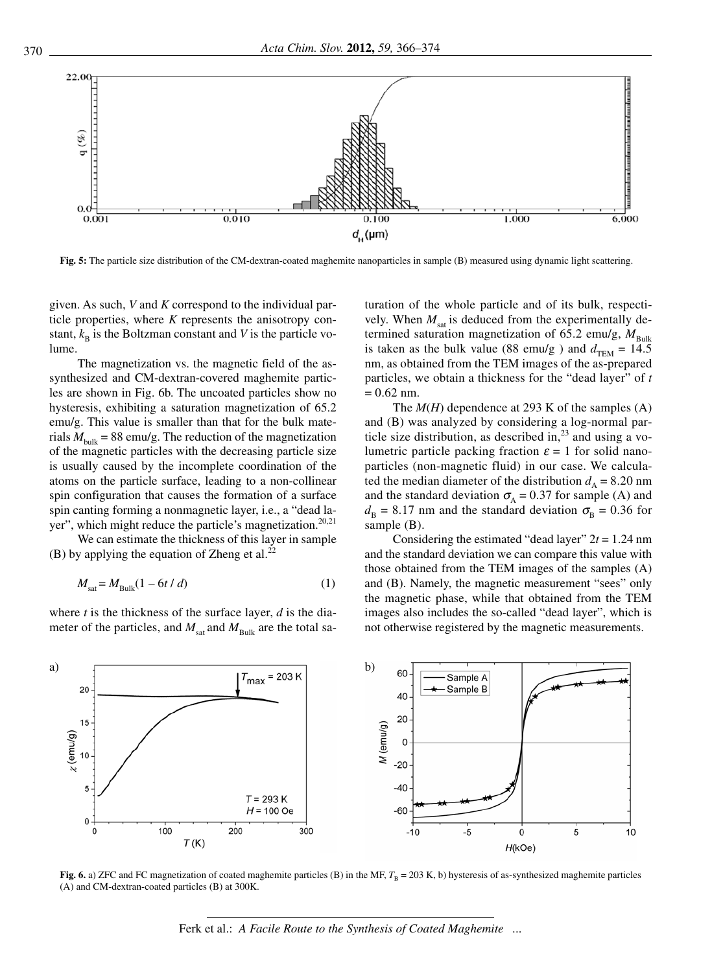

Fig. 5: The particle size distribution of the CM-dextran-coated maghemite nanoparticles in sample (B) measured using dynamic light scattering.

given. As such, *V* and *K* correspond to the individual particle properties, where  $K$  represents the anisotropy constant,  $k_B$  is the Boltzman constant and *V* is the particle volume.

The magnetization vs. the magnetic field of the assynthesized and CM-dextran-covered maghemite particles are shown in Fig. 6b. The uncoated particles show no hysteresis, exhibiting a saturation magnetization of 65.2 emu/g. This value is smaller than that for the bulk materials  $M_{\text{bulk}} = 88 \text{ emu/g}$ . The reduction of the magnetization of the magnetic particles with the decreasing particle size is usually caused by the incomplete coordination of the atoms on the particle surface, leading to a non-collinear spin configuration that causes the formation of a surface spin canting forming a nonmagnetic layer, i.e., a "dead layer", which might reduce the particle's magnetization.<sup>20,21</sup>

We can estimate the thickness of this layer in sample (B) by applying the equation of Zheng et al.<sup>22</sup>

$$
M_{\text{sat}} = M_{\text{Bulk}} (1 - 6t / d) \tag{1}
$$

where  $t$  is the thickness of the surface layer,  $d$  is the diameter of the particles, and  $M_{\text{sat}}$  and  $M_{\text{Bulk}}$  are the total saturation of the whole particle and of its bulk, respectively. When  $M_{\text{sat}}$  is deduced from the experimentally determined saturation magnetization of 65.2 emu/g,  $M_{\text{Bulk}}$ is taken as the bulk value (88 emu/g) and  $d_{\text{TEM}} = 14.5$ nm, as obtained from the TEM images of the as-prepared particles, we obtain a thickness for the "dead layer" of *t*  $= 0.62$  nm.

The  $M(H)$  dependence at 293 K of the samples (A) and (B) was analyzed by considering a log-normal particle size distribution, as described in,<sup>23</sup> and using a volumetric particle packing fraction  $\varepsilon = 1$  for solid nanoparticles (non-magnetic fluid) in our case. We calculated the median diameter of the distribution  $d_A = 8.20$  nm and the standard deviation  $\sigma_A = 0.37$  for sample (A) and  $d_{\text{B}} = 8.17$  nm and the standard deviation  $\sigma_{\text{B}} = 0.36$  for sample  $(B)$ .

Considering the estimated "dead layer"  $2t = 1.24$  nm and the standard deviation we can compare this value with those obtained from the TEM images of the samples  $(A)$ and (B). Namely, the magnetic measurement "sees" only the magnetic phase, while that obtained from the TEM images also includes the so-called "dead layer", which is not otherwise registered by the magnetic measurements.



**Fig. 6.** a) ZFC and FC magnetization of coated maghemite particles (B) in the MF,  $T_B = 203$  K, b) hysteresis of as-synthesized maghemite particles  $(A)$  and CM-dextran-coated particles  $(B)$  at 300K.

Ferk et al.: *A Facile Route to the Synthesis of Coated Maghemite ...*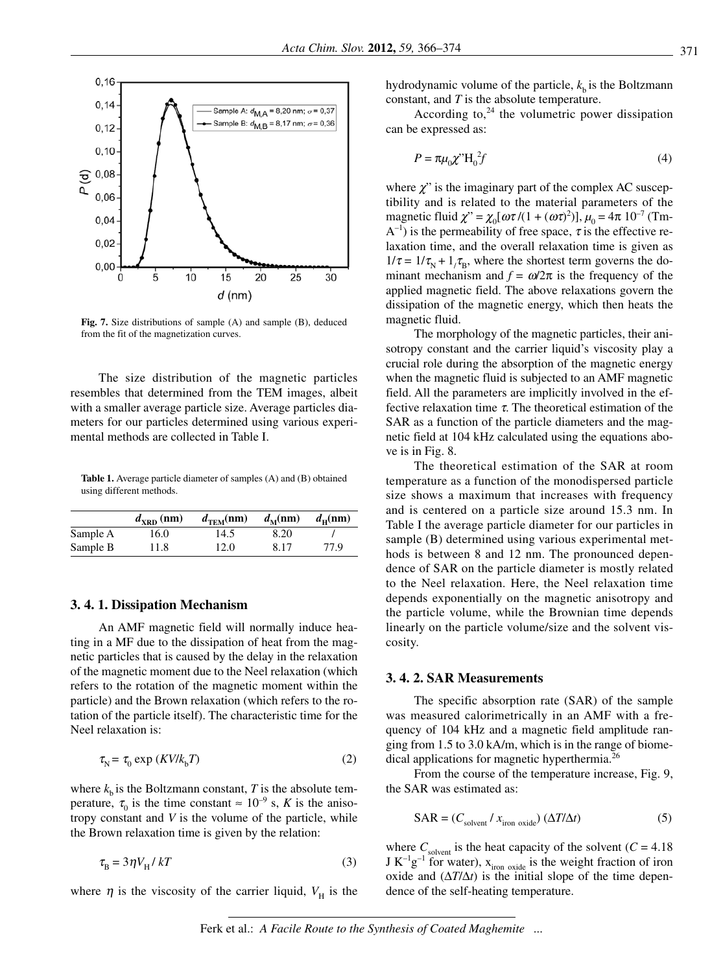

Fig. 7. Size distributions of sample (A) and sample (B), deduced from the fit of the magnetization curves.

The size distribution of the magnetic particles resembles that determined from the TEM images, albeit with a smaller average particle size. Average particles diameters for our particles determined using various experimental methods are collected in Table I.

Table 1. Average particle diameter of samples (A) and (B) obtained using different methods.

|          | $d_{\rm XRD}$ (nm) | $d_{\text{TEM}}(nm)$ | $d_{\mathbf{M}}(\mathbf{n}\mathbf{m})$ | $d_{\rm u}(nm)$ |
|----------|--------------------|----------------------|----------------------------------------|-----------------|
| Sample A | 16.0               | 14.5                 | 8.20                                   |                 |
| Sample B | 11.8               | 12.0                 | 8.17                                   | 77.9            |

#### **3. 4. 1. Dissipation Mechanism**

An AMF magnetic field will normally induce heating in a MF due to the dissipation of heat from the magnetic particles that is caused by the delay in the relaxation of the magnetic moment due to the Neel relaxation (which refers to the rotation of the magnetic moment within the particle) and the Brown relaxation (which refers to the rotation of the particle itself). The characteristic time for the Neel relaxation is:

$$
\tau_{\rm N} = \tau_0 \exp\left(\frac{K V}{k_{\rm b}} T\right) \tag{2}
$$

where  $k<sub>b</sub>$  is the Boltzmann constant, *T* is the absolute temperature,  $\tau_0$  is the time constant  $\approx 10^{-9}$  s, *K* is the anisotropy constant and *V* is the volume of the particle, while the Brown relaxation time is given by the relation:

$$
\tau_{\rm B} = 3\eta V_{\rm H} / kT \tag{3}
$$

where  $\eta$  is the viscosity of the carrier liquid,  $V_H$  is the

hydrodynamic volume of the particle,  $k<sub>b</sub>$  is the Boltzmann constant, and  $T$  is the absolute temperature.

According to,  $24$  the volumetric power dissipation can be expressed as:

$$
P = \pi \mu_0 \chi^{\prime\prime} H_0^2 f \tag{4}
$$

where  $\chi$ " is the imaginary part of the complex AC susceptibility and is related to the material parameters of the magnetic fluid  $\chi$ " =  $\chi_0$ [ $\omega \tau / (1 + (\omega \tau)^2)$ ],  $\mu_0 = 4\pi 10^{-7}$  (Tm- $A^{-1}$ ) is the permeability of free space,  $\tau$  is the effective relaxation time, and the overall relaxation time is given as  $1/\tau = 1/\tau_{\rm N} + 1/\tau_{\rm B}$ , where the shortest term governs the dominant mechanism and  $f = \omega/2\pi$  is the frequency of the applied magnetic field. The above relaxations govern the dissipation of the magnetic energy, which then heats the magnetic fluid.

The morphology of the magnetic particles, their aniso tropy constant and the carrier liquid's viscosity play a crucial role during the absorption of the magnetic energy when the magnetic fluid is subjected to an AMF magnetic field. All the parameters are implicitly involved in the effective relaxation time  $\tau$ . The theoretical estimation of the SAR as a function of the particle diameters and the magnetic field at 104 kHz calculated using the equations above is in Fig. 8.

The theoretical estimation of the SAR at room temperature as a function of the monodispersed particle size shows a maximum that increases with frequency and is centered on a particle size around 15.3 nm. In Table I the average particle diameter for our particles in sample (B) determined using various experimental methods is between 8 and 12 nm. The pronounced dependence of SAR on the particle diameter is mostly related to the Neel relaxation. Here, the Neel relaxation time depends exponentially on the magnetic anisotropy and the particle volume, while the Brownian time depends linearly on the particle volume/size and the solvent viscosity.

### **3. 4. 2. SAR Measurements**

The specific absorption rate  $(SAR)$  of the sample was measured calorimetrically in an AMF with a frequency of 104 kHz and a magnetic field amplitude ranging from  $1.5$  to  $3.0$  kA/m, which is in the range of biomedical applications for magnetic hyperthermia.<sup>26</sup>

From the course of the temperature increase, Fig. 9, the SAR was estimated as:

$$
SAR = (C_{\text{solvent}} / x_{\text{iron oxide}}) (\Delta T / \Delta t)
$$
 (5)

where  $C_{\text{solvent}}$  is the heat capacity of the solvent ( $C = 4.18$ ) J  $K^{-1}g^{-1}$  for water),  $x_{\text{iron oxide}}$  is the weight fraction of iron oxide and  $(\Delta T/\Delta t)$  is the initial slope of the time dependence of the self-heating temperature.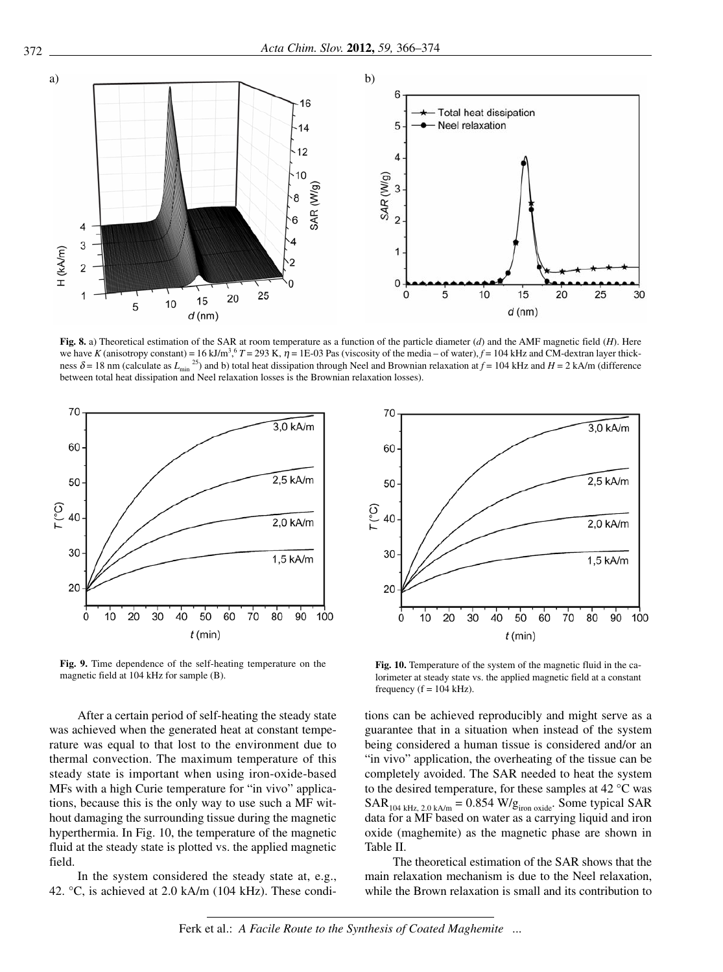

Fig. 8. a) Theoretical estimation of the SAR at room temperature as a function of the particle diameter  $(d)$  and the AMF magnetic field  $(H)$ . Here we have *K* (anisotropy constant) = 16 kJ/m<sup>3</sup>,  $T = 293$  K,  $\eta = 1E-03$  Pas (viscosity of the media – of water),  $f = 104$  kHz and CM-dextran layer thickness  $\delta$  = 18 nm (calculate as  $L_{\text{min}}^{25}$ ) and b) total heat dissipation through Neel and Brownian relaxation at  $f$  = 104 kHz and  $H$  = 2 kA/m (difference between total heat dissipation and Neel relaxation losses is the Brownian relaxation losses).



Fig. 9. Time dependence of the self-heating temperature on the magnetic field at 104 kHz for sample (B).

After a certain period of self-heating the steady state was achieved when the generated heat at constant temperature was equal to that lost to the environment due to thermal convection. The maximum temperature of this steady state is important when using iron-oxide-based MFs with a high Curie temperature for "in vivo" applications, because this is the only way to use such a MF without da maging the surrounding tissue during the magnetic hyperthermia. In Fig. 10, the temperature of the magnetic fluid at the steady state is plotted vs. the applied magnetic field.

In the system considered the steady state at, e.g., 42.  $\degree$ C, is achieved at 2.0 kA/m (104 kHz). These condi-



Fig. 10. Temperature of the system of the magnetic fluid in the calorimeter at steady state vs. the applied magnetic field at a constant frequency ( $f = 104$  kHz).

tions can be achieved reproducibly and might serve as a guarantee that in a situation when instead of the system being considered a human tissue is considered and/or an "in vivo" application, the overheating of the tissue can be completely avoided. The SAR needed to heat the system to the desired temperature, for these samples at 42  $^{\circ}$ C was  $SAR_{104 \text{ kHz}, 2.0 \text{ kA/m}} = 0.854 \text{ W/g}_{\text{iron oxide}}$ . Some typical SAR data for a MF based on water as a carrying liquid and iron oxide (maghemite) as the magnetic phase are shown in Table II.

The theoretical estimation of the SAR shows that the main relaxation mechanism is due to the Neel relaxation, while the Brown relaxation is small and its contribution to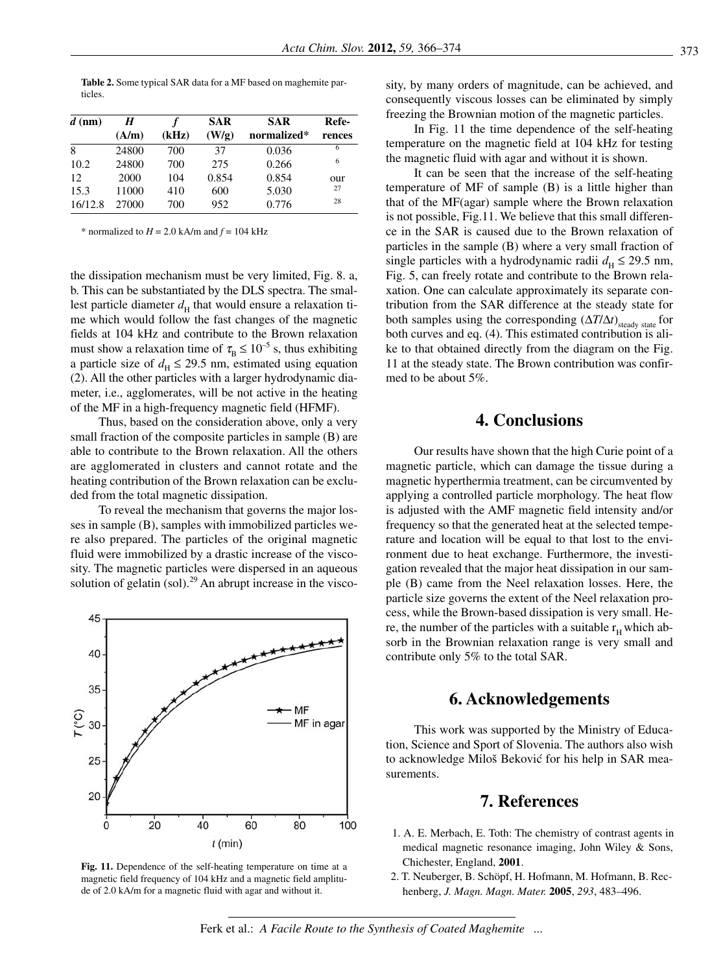Table 2. Some typical SAR data for a MF based on maghemite particles.

| $d$ (nm) | H     |       | <b>SAR</b> | <b>SAR</b>  | Refe-  |
|----------|-------|-------|------------|-------------|--------|
|          | (A/m) | (kHz) | (W/g)      | normalized* | rences |
| 8        | 24800 | 700   | 37         | 0.036       | 6      |
| 10.2     | 24800 | 700   | 275        | 0.266       | 6      |
| 12       | 2000  | 104   | 0.854      | 0.854       | our    |
| 15.3     | 11000 | 410   | 600        | 5.030       | 27     |
| 16/12.8  | 27000 | 700   | 952        | 0.776       | 28     |

\* normalized to  $H = 2.0$  kA/m and  $f = 104$  kHz

the dissipation mechanism must be very limited, Fig. 8. a, b. This can be substantiated by the DLS spectra. The smallest particle diameter  $d_H$  that would ensure a relaxation time which would follow the fast changes of the magnetic fields at 104 kHz and contribute to the Brown relaxation must show a relaxation time of  $\tau_{\rm B} \leq 10^{-5}$  s, thus exhibiting a particle size of  $d_H \le 29.5$  nm, estimated using equation  $(2)$ . All the other particles with a larger hydrodynamic diameter, i.e., agglomerates, will be not active in the heating of the MF in a high-frequency magnetic field (HFMF).

Thus, based on the consideration above, only a very small fraction of the composite particles in sample (B) are able to contribute to the Brown relaxation. All the others are agglomerated in clusters and cannot rotate and the heating contribution of the Brown relaxation can be excluded from the total magnetic dissipation.

To reveal the mechanism that governs the major losses in sample (B), samples with immobilized particles were also prepared. The particles of the original magnetic fluid were immobilized by a drastic increase of the viscosity. The magnetic particles were dispersed in an aqueous solution of gelatin (sol).<sup>29</sup> An abrupt increase in the visco-



Fig. 11. Dependence of the self-heating temperature on time at a magnetic field frequency of 104 kHz and a magnetic field amplitude of 2.0 kA/m for a magnetic fluid with agar and without it.

sity, by many orders of magnitude, can be achieved, and consequently viscous losses can be eliminated by simply freezing the Brownian motion of the magnetic particles.

In Fig. 11 the time dependence of the self-heating temperature on the magnetic field at 104 kHz for testing the magnetic fluid with agar and without it is shown.

It can be seen that the increase of the self-heating tem perature of MF of sample  $(B)$  is a little higher than that of the  $MF(agar)$  sample where the Brown relaxation is not possible, Fig.11. We believe that this small difference in the SAR is caused due to the Brown relaxation of particles in the sample  $(B)$  where a very small fraction of single particles with a hydrodynamic radii  $d_H \le 29.5$  nm, Fig. 5, can freely rotate and contribute to the Brown relaxation. One can calculate approximately its separate contribution from the SAR difference at the steady state for both samples using the corresponding  $(\Delta T/\Delta t)_{\text{steady state}}$  for both curves and eq. (4). This estimated contribution is alike to that obtained directly from the diagram on the Fig. 11 at the steady state. The Brown contribution was confirmed to be about 5%.

# **4. Conclusions**

Our results have shown that the high Curie point of a magnetic particle, which can damage the tissue during a magnetic hyperthermia treatment, can be circumvented by applying a controlled particle morphology. The heat flow is adjusted with the AMF magnetic field intensity and/or frequency so that the generated heat at the selected temperature and location will be equal to that lost to the environment due to heat exchange. Furthermore, the investigation revealed that the major heat dissipation in our sample  $(B)$  came from the Neel relaxation losses. Here, the particle size governs the extent of the Neel relaxation process, while the Brown-based dissipation is very small. Here, the number of the particles with a suitable  $r<sub>u</sub>$  which absorb in the Brownian relaxation range is very small and contribute only 5% to the total SAR.

## **6. Ack now led ge ments**

This work was supported by the Ministry of Education, Science and Sport of Slovenia. The authors also wish to acknowledge Miloš Beković for his help in SAR measurements.

## **7. Re fe ren ces**

- 1. A. E. Merbach, E. Toth: The chemistry of contrast agents in medical magnetic resonance imaging, John Wiley  $&$  Sons, Chichester, England, 2001.
- 2. T. Neuberger, B. Schöpf, H. Hofmann, M. Hofmann, B. Rechen berg, *J. Magn. Magn. Ma ter.* **2005**, *293*, 483–496.